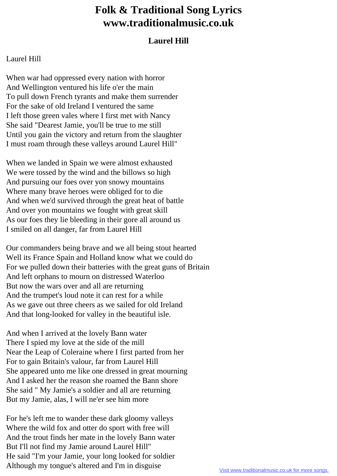## **Folk & Traditional Song Lyrics www.traditionalmusic.co.uk**

## **Laurel Hill**

## Laurel Hill

When war had oppressed every nation with horror And Wellington ventured his life o'er the main To pull down French tyrants and make them surrender For the sake of old Ireland I ventured the same I left those green vales where I first met with Nancy She said "Dearest Jamie, you'll be true to me still Until you gain the victory and return from the slaughter I must roam through these valleys around Laurel Hill"

When we landed in Spain we were almost exhausted We were tossed by the wind and the billows so high And pursuing our foes over yon snowy mountains Where many brave heroes were obliged for to die And when we'd survived through the great heat of battle And over yon mountains we fought with great skill As our foes they lie bleeding in their gore all around us I smiled on all danger, far from Laurel Hill

Our commanders being brave and we all being stout hearted Well its France Spain and Holland know what we could do For we pulled down their batteries with the great guns of Britain And left orphans to mourn on distressed Waterloo But now the wars over and all are returning And the trumpet's loud note it can rest for a while As we gave out three cheers as we sailed for old Ireland And that long-looked for valley in the beautiful isle.

And when I arrived at the lovely Bann water There I spied my love at the side of the mill Near the Leap of Coleraine where I first parted from her For to gain Britain's valour, far from Laurel Hill She appeared unto me like one dressed in great mourning And I asked her the reason she roamed the Bann shore She said " My Jamie's a soldier and all are returning But my Jamie, alas, I will ne'er see him more

For he's left me to wander these dark gloomy valleys Where the wild fox and otter do sport with free will And the trout finds her mate in the lovely Bann water But I'll not find my Jamie around Laurel Hill" He said "I'm your Jamie, your long looked for soldier Although my tongue's altered and I'm in disguise